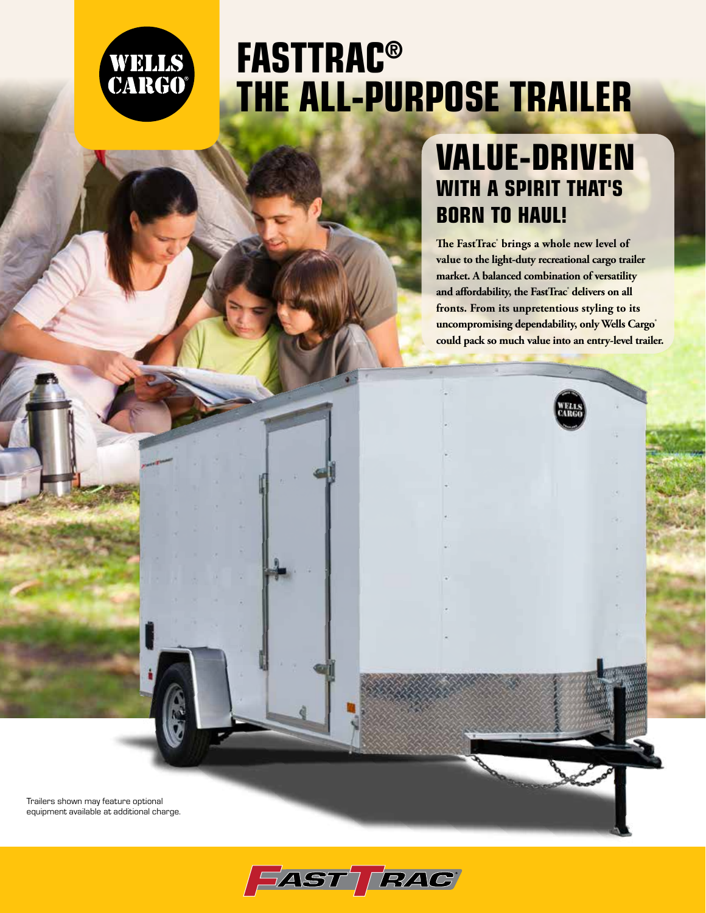

# **FASTTRAC® THE ALL-PURPOSE TRAILER**

# **VALUE-DRIVEN WITH A SPIRIT THAT'S BORN TO HAUL!**

**The FastTrac® brings a whole new level of value to the light-duty recreational cargo trailer market. A balanced combination of versatility and affordability, the FastTrac® delivers on all fronts. From its unpretentious styling to its uncompromising dependability, only Wells Cargo® could pack so much value into an entry-level trailer.** 

Trailers shown may feature optional equipment available at additional charge.